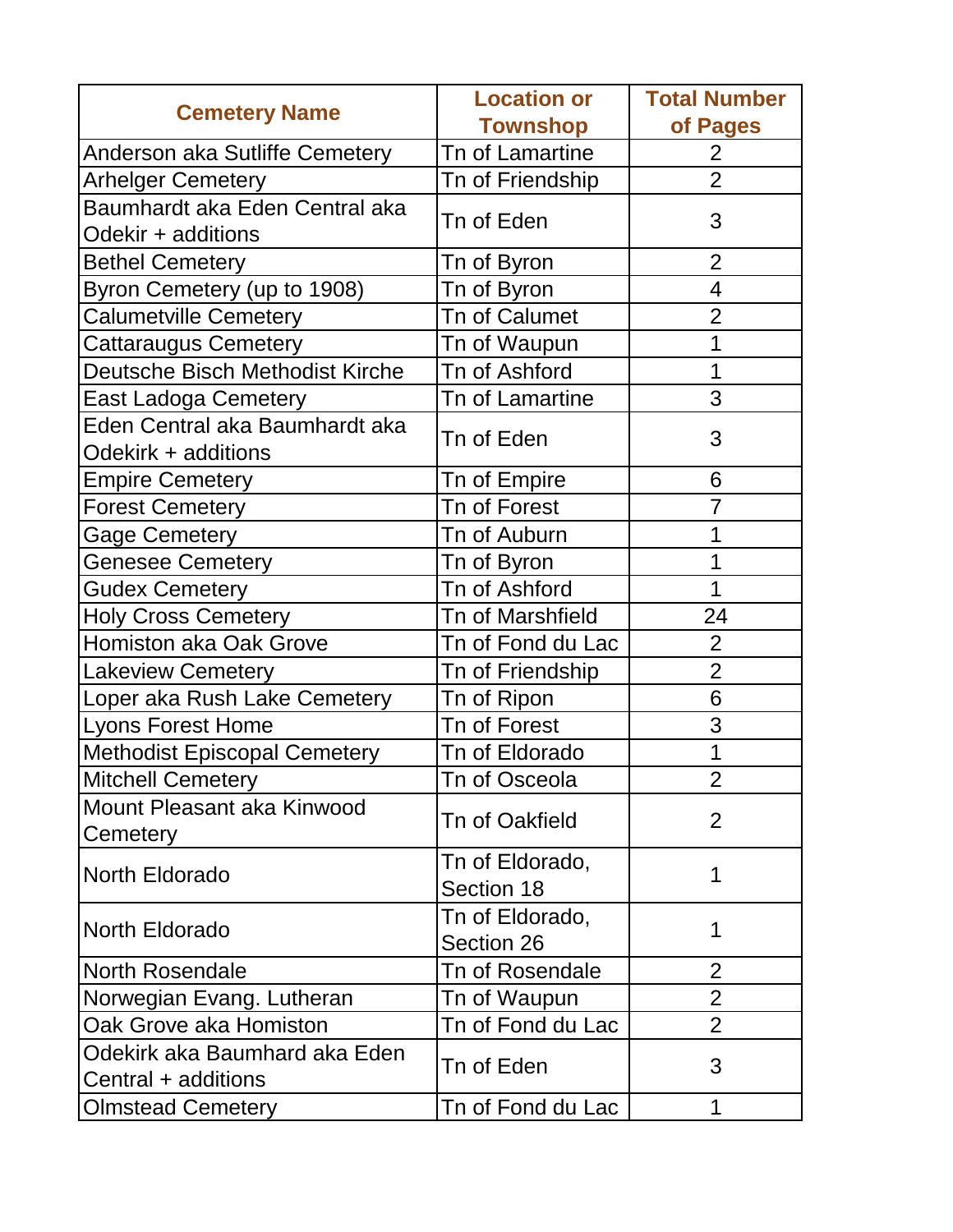| <b>Cemetery Name</b>                   | <b>Location or</b>            | <b>Total Number</b> |
|----------------------------------------|-------------------------------|---------------------|
|                                        | <b>Townshop</b>               | of Pages            |
| Anderson aka Sutliffe Cemetery         | Tn of Lamartine               | $\overline{2}$      |
| <b>Arhelger Cemetery</b>               | Tn of Friendship              | $\overline{2}$      |
| Baumhardt aka Eden Central aka         |                               |                     |
| Odekir + additions                     | Tn of Eden<br>3               |                     |
| <b>Bethel Cemetery</b>                 | Tn of Byron                   | $\overline{2}$      |
| Byron Cemetery (up to 1908)            | Tn of Byron                   | $\overline{4}$      |
| <b>Calumetville Cemetery</b>           | Tn of Calumet                 | $\overline{2}$      |
| <b>Cattaraugus Cemetery</b>            | Tn of Waupun                  | 1                   |
| Deutsche Bisch Methodist Kirche        | Tn of Ashford                 | 1                   |
| <b>East Ladoga Cemetery</b>            | Tn of Lamartine               | 3                   |
| Eden Central aka Baumhardt aka         |                               |                     |
| Odekirk + additions                    | Tn of Eden                    | 3                   |
| <b>Empire Cemetery</b>                 | Tn of Empire                  | 6                   |
| <b>Forest Cemetery</b>                 | Tn of Forest                  | $\overline{7}$      |
| <b>Gage Cemetery</b>                   | Tn of Auburn                  | 1                   |
| <b>Genesee Cemetery</b>                | Tn of Byron                   | 1                   |
| <b>Gudex Cemetery</b>                  | Tn of Ashford                 | 1                   |
| <b>Holy Cross Cemetery</b>             | Tn of Marshfield              | 24                  |
| Homiston aka Oak Grove                 | Tn of Fond du Lac             | $\overline{2}$      |
| <b>Lakeview Cemetery</b>               | Tn of Friendship              | $\overline{2}$      |
| Loper aka Rush Lake Cemetery           | Tn of Ripon                   | 6                   |
| <b>Lyons Forest Home</b>               | Tn of Forest                  | 3                   |
| <b>Methodist Episcopal Cemetery</b>    | Tn of Eldorado                | 1                   |
| <b>Mitchell Cemetery</b>               | Tn of Osceola                 | $\overline{2}$      |
| Mount Pleasant aka Kinwood<br>Cemetery | Tn of Oakfield                | $\overline{2}$      |
| North Eldorado                         | Tn of Eldorado,<br>Section 18 | 1                   |
| North Eldorado                         | Tn of Eldorado,<br>Section 26 | 1                   |
| <b>North Rosendale</b>                 | Tn of Rosendale               | $\overline{2}$      |
| Norwegian Evang. Lutheran              | Tn of Waupun                  | 2                   |
| Oak Grove aka Homiston                 | Tn of Fond du Lac             | $\overline{2}$      |
| Odekirk aka Baumhard aka Eden          |                               |                     |
| Central + additions                    | Tn of Eden                    | 3                   |
| <b>Olmstead Cemetery</b>               | Tn of Fond du Lac             | 1                   |